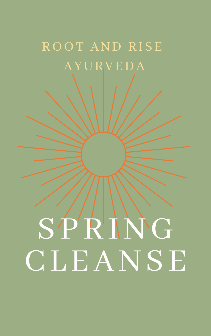# SPRING CLEANSE

# ROOT AND RISE AYURVEDA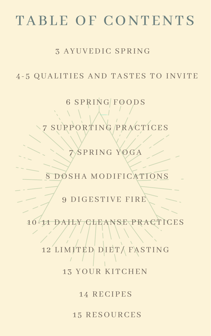# TABLE OF CONTENTS

## 3 AYUVEDIC SPRING

## 4 - 5 QUAL ITIES AND TASTES TO INVITE

## **28 CHAPTER TO** 6 SPRING FOODS 7 SUPPORTING PRACTICES

SPRING YOGA

8 DOSHA MODIFICAT

9 DIGESTIVE FIRE

1 0 - 1 1 DAI LY CLEANSE PRACTICES

# 12 LIMITED DIET/ FASTING 13 YOUR KITCHEN

14 RECIPES

1 5 RESOURCES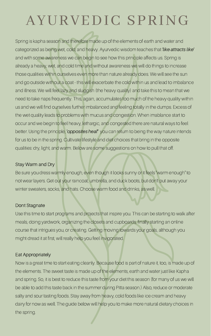Spring is kapha season and therefore made up of the elements of earth and water and categorized as being wet, cold, and heavy. Ayurvedic wisdom teaches that like attracts like' and with some awareness we can begin to see how this principle affects us. Spring is already a heavy, wet, and cold time and without awareness we will do things to increase those qualities within ourselves even more than nature already does. We will see the sun and go outside without a coat - this will exacerbate the cold within us and lead to imbalance and illness. We will feel lazy and sluggish (the heavy quality) and take this to mean that we need to take naps frequently. This, again, accumulates too much of the heavy quality within us and we will find ourselves further imbalanced and feeling totally in the dumps. Excess of the wet quality leads to problems with mucus and congestion. When imablance start to occur and we begin to feel heavy, lethargic, and congested there are natural ways to feel better. Using the principle, 'opposites heal" you can return to being the way nature intends for us to be in the spring. Cultivate lifestyle and diet choices that bring in the opposite qualities: dry, light, and warm. Below are some suggestions on how to pull that off.

#### Stay Warm and Dry

Be sure you dress warmly enough, even though it looks sunny or it feels "warm enough" to

not wear layers. Get out your raincoat, umbrella, and duck boots, but don't put away your winter sweaters, socks, and hats. Choose warm food and drinks, as well.

#### Dont Stagnate

Use this time to start programs and projects that inspire you. This can be starting to walk after meals, doing yardwork, organizing the closets and cupboards, finally starting an online course that intrigues you, or creating. Getting moving towards your goals, although you might dread it at first, will really help you feel invigorated.

#### Eat Appropriately

Now is a great time to start eating cleanly. Because food is part of nature it, too, is made up of the elements. The sweet taste is made up of the elements, earth and water just like Kapha and spring. So, it is best to reduce this taste from your diet this season (for many of us we will be able to add this taste back in the summer during Pitta season.) Also, reduce or moderate salty and sour tasting foods. Stay away from heavy, cold foods like ice cream and heavy dairy for now as well. The guide below will help you to make more natural dietary choices in the spring.

# AYURVEDIC SPRING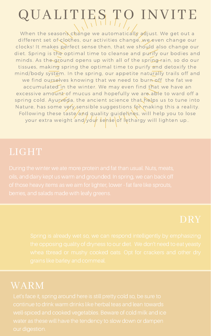# QUALITIES TO INVITE

When the seasons change we automatically adjust. We get out a different set of clothes, our activities change, we even change our clocks! It makes perfect sense then, that we should also change our diet. Spring is the optimal time to cleanse and purify our bodies and minds. As the ground opens up with all of the spring rain, so do our tissues, making spring the optimal time to purify and detoxify the mind/body system. In the spring, our appetite naturally trails off and we find ourselves knowing that we need to burn off the fat we accumulated in the winter. We may even find that we have an excessive amount of mucus and hopefully we are able to ward off a spring cold. Ayurveda, the ancient science that helps us to tune into Nature, has some very sensible suggestions for making this a reality. Following these taste/and quality guidelines, will help you to lose your extra weight and/your sense of lethargy will lighten up..

## LIGHT

## WARM

Let's face it, spring around here is still pretty cold so, be sure to continue to drink warm drinks like herbal teas and lean towards well-spiced and cooked vegetables. Beware of cold milk and ice water as these will have the tendency to slow down or dampen our digestion.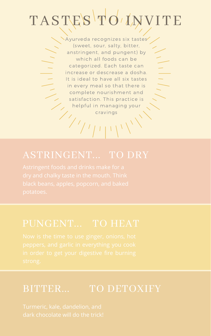# TASTES TO INVITE

Ayurveda recognizes six tastes (sweet, sour, salty, bitter, anstringent, and pungent) by which all foods can be categorized. Each taste can increase or descrease a dosha. It is ideal to have all six tastes in every meal so that there is complete nourishment and satisfaction. This practice is helpful in managing your cravings

## ASTRINGENT... TO DRY

Astringent foods and drinks make for a dry and chalky taste in the mouth. Think

black beans, apples, popcorn, and baked potatoes.

## PUNGENT... TO HEAT

## BITTER... TO DETOXIFY

Turmeric, kale, dandelion, and dark chocolate will do the trick!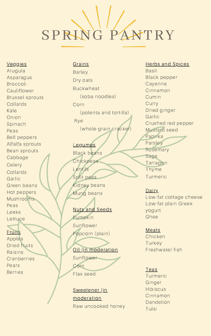Herbs and Spices Basil Black pepper Cayenne Cinnamon Cumin Curry Dried ginger Garlic Crushed red pepper Mustard seed Paprika Parsley Rosemary Sage Tarragon Thyme Turmeric

Garlic Green beans Hot peppers Mushrooms Peas Leeks **Lettuce** 

## **Fruits**

Arugula Asparagus Broccoli **Cauliflower** Brussel sprouts Collards Kale Onion Spinach Peas Bell peppers Alfalfa sprouts Bean sprouts Cabbage Celery Collards

> Low-fat cottage cheese Low-fat plain Greek yogurt Ghee

#### **Meats**

Chicken **Turkey** Freshwater fish

#### Teas

Turmeric Ginger Hibiscus Cinnamon Dandelion Tulsi

#### Veggies

Apples Dried fruits Raisins Cranberries Pears Berries

## Barley Dry oats Buckwheat (soba noodles) Corn (polenta and tortilla) Rye (whole-grain cracker)

## Legumes Black beans **Chickpeas**

**Grains** 

Lentils Split peas

Kidney beans Mung beans

#### Nuts and Seeds

Pumpkin Sunflower Popcorn (plain)

### Oil (in moderation Sunflower

Corn Flax seed

## Sweetener (in moderation Raw uncooked honey

#### Dairy

# SPRING PANTRY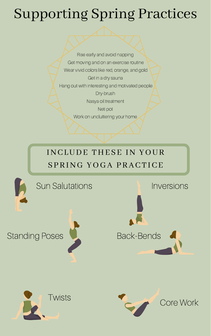Rise early and avoid napping Get moving and on an exercise routine Wear vivid colors like red, orange, and gold Get in a dry sauna Hang out with interesting and motivated people Dry-brush Nasya oil treatment Neti pot Work on uncluttering your home

# Supporting Spring Practices

## INCLUDE THESE IN YOUR SPRING YOGA PRACTICE



## Standing Poses



## Core Work

## Sun Salutations







Inversions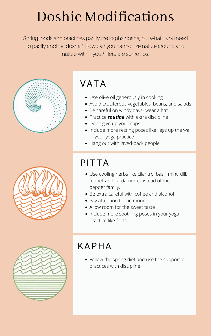# Doshic Modifications

Spring foods and practices pacify the kapha dosha, but what if you need to pacify another dosha? How can you harmonize nature around and nature within you? Here are some tips:



## PITTA

## VATA

- Use olive oil generously in cooking
- Avoid cruciferous vegetables, beans, and salads.
- Be careful on windy days- wear a hat
- Practice *routine* with extra discipline
- Don't give up your naps
- Include more resting poses like 'legs up the wall' in your yoga practice
- Hang out with layed-back people

## KAPHA

Use cooling herbs like cilantro, basil, mint, dill, fennel, and cardamom, instead of the pepper family.



- Be extra careful with coffee and alcohol
- Pay attention to the moon
- Allow room for the sweet taste
- Include more soothing poses in your yoga practice like folds



Follow the spring diet and use the supportive practices with discipline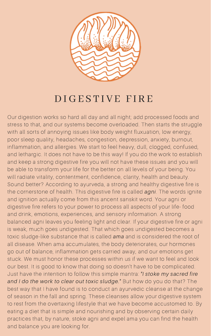Our digestion works so hard all day and all night; add processed foods and stress to that, and our systems become overloaded. Then starts the struggle with all sorts of annoying issues like body weight fluxuation, low energy, poor sleep quality, headaches, congestion, depression, anxiety, burnout, inflammation, and allergies. We start to feel heavy, dull, clogged, confused, and lethargic. It does not have to be this way! If you do the work to establish and keep a strong digestive fire you will not have these issues and you will be able to transform your life for the better on all levels of your being. You will radiate vitality, contentment, confidence, clarity, health and beauty. Sound better? According to ayurveda, a strong and healthy digestive fire is the cornerstone of health. This digestive fire is called *agni*. The words ignite and ignition actually come from this ancent sanskit word. Your agni or digestive fire refers to your power to process all aspects of your life- food and drink, emotions, experiences, and sensory information. A strong balanced agni leaves you feeling light and clear. If your digestive fire or agni is weak, much goes undigested. That which goes undigested becomes a toxic sludge-like substance that is called ama and is considered the root of all disease. When ama accumulates, the body deteriorates, our hormones go out of balance, inflammation gets carried away, and our emotions get stuck. We must honor these processes within us if we want to feel and look our best. It is good to know that doing so doesn't have to be complicated. Just have the intention to follow this simple mantra: "I stoke my sacred fire and I do the work to clear out toxic sludge." But how do you do that? The best way that I have found is to conduct an ayurvedic cleanse at the change of season in the fall and spring. These cleanses allow your digestive system to rest from the overtaxing lifestyle that we have become accustomed to. By eating a diet that is simple and nourishing and by observing certain daily practices that, by nature, stoke agni and expel ama you can find the health and balance you are looking for.



## DIGE S T I V E F I R E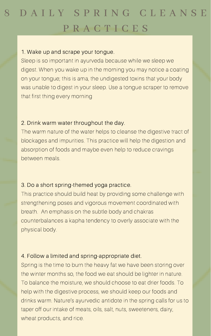## 8 D A I L Y S P R I N G C L E A N S E P R A C T I C E S

#### 1. Wake up and scrape your tongue.

Sleep is so important in ayurveda because while we sleep we digest. When you wake up in the morning you may notice a coating on your tongue; this is ama, the undigested toxins that your body was unable to digest in your sleep. Use a tongue scraper to remove that first thing every morning

## 2. Drink warm water throughout the day.

4. Follow a limited and spring-appropriate diet. Spring is the time to burn the heavy fat we have been storing over the winter months so, the food we eat should be lighter in nature. To balance the moisture, we should choose to eat drier foods. To help with the digestive process, we should keep our foods and drinks warm. Nature's ayurvedic antidote in the spring calls for us to taper off our intake of meats, oils, salt, nuts, sweeteners, dairy, wheat products, and rice.

The warm nature of the water helps to cleanse the digestive tract of blockages and impurities. This practice will help the digestion and absorption of foods and maybe even help to reduce cravings between meals.

3. Do a short spring-themed yoga practice.

This practice should build heat by providing some challenge with strengthening poses and vigorous movement coordinated with breath. An emphasis on the subtle body and chakras counterbalances a kapha tendency to overly associate with the physical body.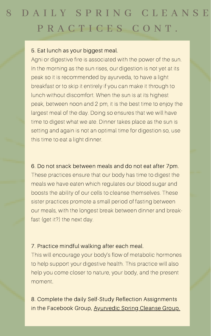## 8 D A I L Y S P R I N G C L E A N S E P R A C T I C E S C O N T.

#### 5. Eat lunch as your biggest meal.

Agni or digestive fire is associated with the power of the sun. In the morning as the sun rises, our digestion is not yet at its peak so it is recommended by ayurveda, to have a light breakfast or to skip it entirely if you can make it through to lunch without discomfort. When the sun is at its highest peak, between noon and 2 pm, it is the best time to enjoy the largest meal of the day. Doing so ensures that we will have time to digest what we ate. Dinner takes place as the sun is setting and again is not an optimal time for digestion so, use this time to eat a light dinner.

8. Complete the daily Self-Study Reflection Assignments in the Facebook Group, [Ayurvedic](https://www.facebook.com/groups/566519650748706/) Spring Cleanse Group.

6. Do not snack between meals and do not eat after 7pm. These practices ensure that our body has time to digest the

meals we have eaten which regulates our blood sugar and boosts the ability of our cells to cleanse themselves. These sister practices promote a small period of fasting between our meals, with the longest break between dinner and breakfast (get it?) the next day.

7. Practice mindful walking after each meal. This will encourage your body's flow of metabolic hormones to help support your digestive health. This practice will also help you come closer to nature, your body, and the present moment.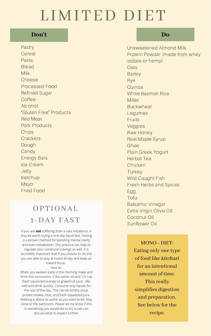Pastry **Cereal** Pasta Bread Milk Cheese Processed Food Refined Sugar **Coffee** Alcohol "Gluten Free" Products Red Meat Pork Products Chips **Crackers** Dough Candy Energy Bars Ice Cream Jelly Ketchup

Unsweetened Almond Milk Protein Powder (made from whey isolate or hemp) **Oats** Barley Rye Quinoa White Basmati Rice Millet Buckwheat Legumes Fruits Veggies Raw Honey Real Maple Syrup Ghee Plain Greek Yogurt Herbal Tea Chicken **Turkey** 

Mayo Fried Food Wild-Caught Fish

Fresh Herbs and Spices Egg Tofu Balsamic Vinegar Extra-Virgin Olive OIl Coconut OIl Sunflower Oil

# LIMITED DIET

## OPTIONAL 1 -DAY FAST

## **Don't Do**

MONO - DIET: Eating only one type of food like kitchari for an intentional amount of time. This really simplifies digestion and preparation. See below for the recipe.

If you are *not* suffering from a vata imbalance, it may be worth trying a one day liquid fast. Fasting is a proven method for boosting mental clarity and even metabolism. This practice can help to regulate your unnatural cravings as well. It is incredibly important that if you choose to do this you are able to stay at home all day and keep an inward focus.

#### How to:

When you awaken early in the morning make and drink this concoction. 2 tbs castor oil and 1/2 cup fresh squeezed orange or grapefruit juice.. Mix well and drink quickly. Consume only liquids for the rest of the day. This can be brothy soup, protien shakes, teas, and fresh squeezed juice. Walking is about as active as you want to be. Stay close to the bathroom. Please let me know if this is something you would like to try so we can discuss what to expect further.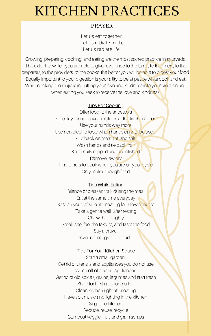Growing, preparing, cooking, and eating are the most sacred practice in ayurveda. The extent to which you are able to give reverence to the Earth, to the frners, to the preparers, to the providers, to the cooks, the better you will be able to digest your food. Equally important to your digestion is your aility to be at peace while cook and eat. While cooking the majic is in putting your love and kindness into your creation and when eating you seek to receive the love and kindness.

> Offer food to the ancestors Check your negative emotions at the kitchen door Use your hands way more Use non electric tools when hands cannot be used. Cut back on meat, fat, and salt Wash hands and tie back hair Keep nails clipped and unpolished Remove jewlery Find others to cook when you are on your cycle Only make enough food

#### **Tips While Eating**

#### Tips For Cooking

Silence or pleasant talk during the meal Eat at the same time everyday Rest on your leftside after eating for a few minutes Take a gentle walk after resting Chew throroughly Smell, see, feel the texture, and taste the food Say a prayer Invoke feelings of gratitude

#### **Tips For Your Kitchen Space**

Start a small garden Get rid of utensils and appliances you do not use Ween off of electric appliances Get rid of old spices, grains, legumes and start fresh Shop for fresh produce often Clean kitchen right after eating Have soft music and lighting in the kitchen Sage the kitchen Reduce, reuse, recycle Compost veggie, fruit, and grain scraps

## KITCHEN PRACTICES

Let us eat together, Let us radiate truth, Let us radiate life.

#### PRAYER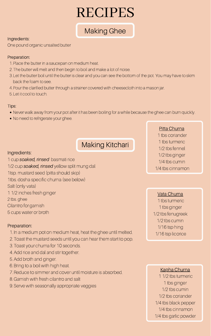- Never walk away from your pot after it has been boiling for a while because the ghee can burn quickly.
- No need to refrigerate your ghee.
- 1. Place the butter in a saucepan on medium heat.
- The butter will melt and then begin to boil and make a lot of noise. 2.
- 3. Let the butter boil until the butter is clear and you can see the bottom of the pot. You may have to skim back the foam to see.
- Pour the clarified butter through a strainer covered with cheesecloth into a mason jar. 4.

5. Let it cool to touch.

## Making Ghee

#### Ingredients:

One pound organic unsalted butter

#### Preparation:

#### Tips:

1 cup soaked, rinsed basmati rice 1/2 cup soaked, rinsed yellow split mung dal 1tsp. mustard seed (pitta should skip) 1tbs. dosha specific churna (see below) Salt (only vata) 1 1/2 inches fresh ginger 2 tbs. ghee Cilantro for garnish 5 cups water or broth

## Making Kitchari

#### Ingredients:

#### Preparation:

- 1. In a medium pot on medium heat, heat the ghee until melted.
- Toast the mustard seeds until you can hear them start to pop. 2.
- 3. Toast your churna for 10 seconds.
- 4. Add rice and dal and stir together.
- 5. Add broth and ginger.
- 6. Bring to a boil with high heat.
- 7. Reduce to simmer and cover until moisture is absorbed.
- Garnish with fresh cilantro and salt 8.
- 9. Serve with seasonally appropriate veggies

#### Pitta Churna 1 tbs coriander 1 tbs turmeric 1/2 tbs fennel 1/2 tbs ginger 1/4 tbs cumin 1/4 tbs cinnamon

Vata Churna 1 tbs turmeric 1 tbs ginger 1/2 tbs fenugreek 1/2 tbs cumin 1/16 tsp hing 1/16 tsp licorice

## RECIPES

Kapha Churna

1 1/2 tbs turmeric 1 tbs ginger 1/2 tbs cumin 1/2 tbs coriander 1/4 tbs black pepper 1/4 tbs cinnamon 1/4 tbs garlic powder